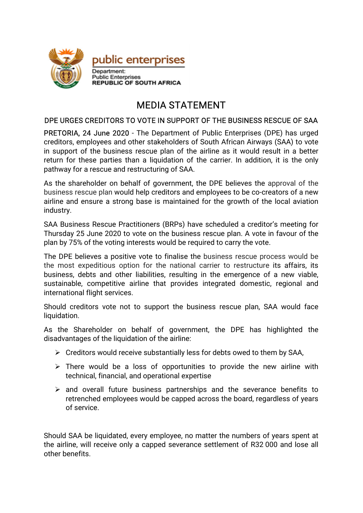

## MEDIASTATEMENT

## DPE URGES CREDITORS TO VOTE IN SUPPORT OF THE BUSINESS RESCUE OF SAA

PRETORIA, 24 June 2020 - The Department of Public Enterprises (DPE) has urged creditors, employees and other stakeholders of South African Airways (SAA) to vote in support of the business rescue plan of the airline as it would result in a better return for these parties than a liquidation of the carrier. In addition, it is the only pathway for a rescue and restructuring of SAA.

As the shareholder on behalf of government, the DPE believes the approval of the business rescue plan would help creditors and employees to be co-creators of a new airline and ensure a strong base is maintained for the growth of the local aviation industry.

SAA Business Rescue Practitioners (BRPs) have scheduled a creditor's meeting for Thursday 25 June 2020 to vote on the business rescue plan. A vote in favour of the plan by 75% of the voting interests would be required to carry the vote.

The DPE believes a positive vote to finalise the business rescue process would be the most expeditious option for the national carrier to restructure its affairs, its business, debts and other liabilities, resulting in the emergence of a new viable, sustainable, competitive airline that provides integrated domestic, regional and international flight services.

Should creditors vote not to support the business rescue plan, SAA would face liquidation.

As the Shareholder on behalf of government, the DPE has highlighted the disadvantages of the liquidation of the airline:

- $\triangleright$  Creditors would receive substantially less for debts owed to them by SAA,
- $\triangleright$  There would be a loss of opportunities to provide the new airline with technical, financial, and operational expertise
- $\triangleright$  and overall future business partnerships and the severance benefits to retrenched employees would be capped across the board, regardless of years ofservice.

Should SAA be liquidated, every employee, no matter the numbers of years spent at the airline, will receive only a capped severance settlement of R32000 and lose all other benefits.